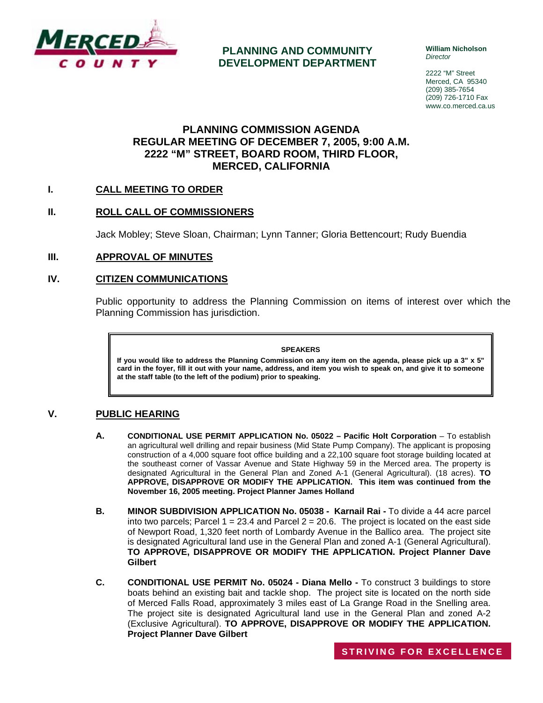

**PLANNING AND COMMUNITY DEVELOPMENT DEPARTMENT** **William Nicholson**  *Director* 

2222 "M" Street Merced, CA 95340 (209) 385-7654 (209) 726-1710 Fax www.co.merced.ca.us

# **PLANNING COMMISSION AGENDA REGULAR MEETING OF DECEMBER 7, 2005, 9:00 A.M. 2222 "M" STREET, BOARD ROOM, THIRD FLOOR, MERCED, CALIFORNIA**

# **I. CALL MEETING TO ORDER**

# **II. ROLL CALL OF COMMISSIONERS**

Jack Mobley; Steve Sloan, Chairman; Lynn Tanner; Gloria Bettencourt; Rudy Buendia

### **III. APPROVAL OF MINUTES**

## **IV. CITIZEN COMMUNICATIONS**

Public opportunity to address the Planning Commission on items of interest over which the Planning Commission has jurisdiction.

#### **SPEAKERS**

**If you would like to address the Planning Commission on any item on the agenda, please pick up a 3" x 5" card in the foyer, fill it out with your name, address, and item you wish to speak on, and give it to someone at the staff table (to the left of the podium) prior to speaking.**

## **V. PUBLIC HEARING**

- **A. CONDITIONAL USE PERMIT APPLICATION No. 05022 Pacific Holt Corporation** To establish an agricultural well drilling and repair business (Mid State Pump Company). The applicant is proposing construction of a 4,000 square foot office building and a 22,100 square foot storage building located at the southeast corner of Vassar Avenue and State Highway 59 in the Merced area. The property is designated Agricultural in the General Plan and Zoned A-1 (General Agricultural). (18 acres). **TO APPROVE, DISAPPROVE OR MODIFY THE APPLICATION. This item was continued from the November 16, 2005 meeting. Project Planner James Holland**
- **B. MINOR SUBDIVISION APPLICATION No. 05038 Karnail Rai -** To divide a 44 acre parcel into two parcels; Parcel  $1 = 23.4$  and Parcel  $2 = 20.6$ . The project is located on the east side of Newport Road, 1,320 feet north of Lombardy Avenue in the Ballico area. The project site is designated Agricultural land use in the General Plan and zoned A-1 (General Agricultural). **TO APPROVE, DISAPPROVE OR MODIFY THE APPLICATION. Project Planner Dave Gilbert**
- **C. CONDITIONAL USE PERMIT No. 05024 Diana Mello** To construct 3 buildings to store boats behind an existing bait and tackle shop. The project site is located on the north side of Merced Falls Road, approximately 3 miles east of La Grange Road in the Snelling area. The project site is designated Agricultural land use in the General Plan and zoned A-2 (Exclusive Agricultural). **TO APPROVE, DISAPPROVE OR MODIFY THE APPLICATION. Project Planner Dave Gilbert**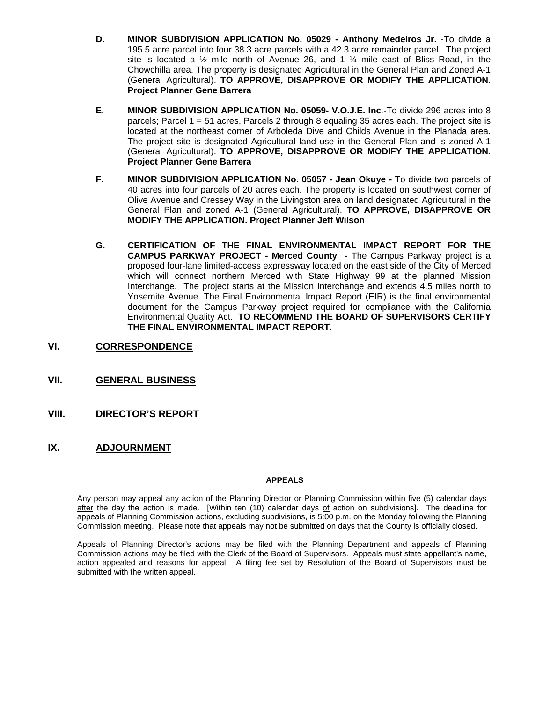- **D. MINOR SUBDIVISION APPLICATION No. 05029 Anthony Medeiros Jr.** -To divide a 195.5 acre parcel into four 38.3 acre parcels with a 42.3 acre remainder parcel. The project site is located a  $\frac{1}{2}$  mile north of Avenue 26, and 1  $\frac{1}{4}$  mile east of Bliss Road, in the Chowchilla area. The property is designated Agricultural in the General Plan and Zoned A-1 (General Agricultural). **TO APPROVE, DISAPPROVE OR MODIFY THE APPLICATION. Project Planner Gene Barrera**
- **E. MINOR SUBDIVISION APPLICATION No. 05059- V.O.J.E. Inc**.-To divide 296 acres into 8 parcels; Parcel 1 = 51 acres, Parcels 2 through 8 equaling 35 acres each. The project site is located at the northeast corner of Arboleda Dive and Childs Avenue in the Planada area. The project site is designated Agricultural land use in the General Plan and is zoned A-1 (General Agricultural). **TO APPROVE, DISAPPROVE OR MODIFY THE APPLICATION. Project Planner Gene Barrera**
- **F. MINOR SUBDIVISION APPLICATION No. 05057 Jean Okuye To divide two parcels of** 40 acres into four parcels of 20 acres each. The property is located on southwest corner of Olive Avenue and Cressey Way in the Livingston area on land designated Agricultural in the General Plan and zoned A-1 (General Agricultural). **TO APPROVE, DISAPPROVE OR MODIFY THE APPLICATION. Project Planner Jeff Wilson**
- **G. CERTIFICATION OF THE FINAL ENVIRONMENTAL IMPACT REPORT FOR THE CAMPUS PARKWAY PROJECT - Merced County -** The Campus Parkway project is a proposed four-lane limited-access expressway located on the east side of the City of Merced which will connect northern Merced with State Highway 99 at the planned Mission Interchange. The project starts at the Mission Interchange and extends 4.5 miles north to Yosemite Avenue. The Final Environmental Impact Report (EIR) is the final environmental document for the Campus Parkway project required for compliance with the California Environmental Quality Act. **TO RECOMMEND THE BOARD OF SUPERVISORS CERTIFY THE FINAL ENVIRONMENTAL IMPACT REPORT.**
- **VI. CORRESPONDENCE**
- **VII. GENERAL BUSINESS**
- **VIII. DIRECTOR'S REPORT**
- **IX. ADJOURNMENT**

### **APPEALS**

Any person may appeal any action of the Planning Director or Planning Commission within five (5) calendar days after the day the action is made. [Within ten (10) calendar days of action on subdivisions]. The deadline for appeals of Planning Commission actions, excluding subdivisions, is 5:00 p.m. on the Monday following the Planning Commission meeting. Please note that appeals may not be submitted on days that the County is officially closed.

Appeals of Planning Director's actions may be filed with the Planning Department and appeals of Planning Commission actions may be filed with the Clerk of the Board of Supervisors. Appeals must state appellant's name, action appealed and reasons for appeal. A filing fee set by Resolution of the Board of Supervisors must be submitted with the written appeal.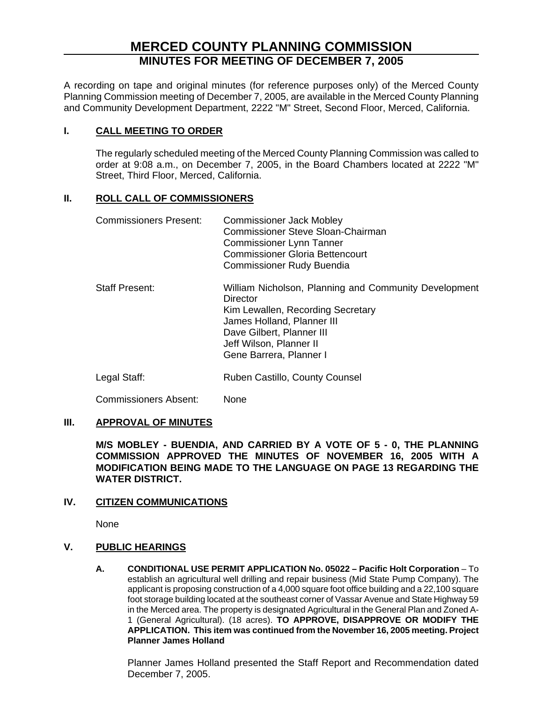# **MERCED COUNTY PLANNING COMMISSION MINUTES FOR MEETING OF DECEMBER 7, 2005**

A recording on tape and original minutes (for reference purposes only) of the Merced County Planning Commission meeting of December 7, 2005, are available in the Merced County Planning and Community Development Department, 2222 "M" Street, Second Floor, Merced, California.

# **I. CALL MEETING TO ORDER**

The regularly scheduled meeting of the Merced County Planning Commission was called to order at 9:08 a.m., on December 7, 2005, in the Board Chambers located at 2222 "M" Street, Third Floor, Merced, California.

# **II. ROLL CALL OF COMMISSIONERS**

| <b>Commissioners Present:</b> | <b>Commissioner Jack Mobley</b><br>Commissioner Steve Sloan-Chairman<br><b>Commissioner Lynn Tanner</b><br><b>Commissioner Gloria Bettencourt</b><br><b>Commissioner Rudy Buendia</b>                                   |
|-------------------------------|-------------------------------------------------------------------------------------------------------------------------------------------------------------------------------------------------------------------------|
| <b>Staff Present:</b>         | William Nicholson, Planning and Community Development<br>Director<br>Kim Lewallen, Recording Secretary<br>James Holland, Planner III<br>Dave Gilbert, Planner III<br>Jeff Wilson, Planner II<br>Gene Barrera, Planner I |
| Legal Staff:                  | Ruben Castillo, County Counsel                                                                                                                                                                                          |

Commissioners Absent: None

# **III. APPROVAL OF MINUTES**

**M/S MOBLEY - BUENDIA, AND CARRIED BY A VOTE OF 5 - 0, THE PLANNING COMMISSION APPROVED THE MINUTES OF NOVEMBER 16, 2005 WITH A MODIFICATION BEING MADE TO THE LANGUAGE ON PAGE 13 REGARDING THE WATER DISTRICT.**

# **IV. CITIZEN COMMUNICATIONS**

None

# **V. PUBLIC HEARINGS**

**A. CONDITIONAL USE PERMIT APPLICATION No. 05022 – Pacific Holt Corporation** – To establish an agricultural well drilling and repair business (Mid State Pump Company). The applicant is proposing construction of a 4,000 square foot office building and a 22,100 square foot storage building located at the southeast corner of Vassar Avenue and State Highway 59 in the Merced area. The property is designated Agricultural in the General Plan and Zoned A-1 (General Agricultural). (18 acres). **TO APPROVE, DISAPPROVE OR MODIFY THE APPLICATION. This item was continued from the November 16, 2005 meeting. Project Planner James Holland** 

Planner James Holland presented the Staff Report and Recommendation dated December 7, 2005.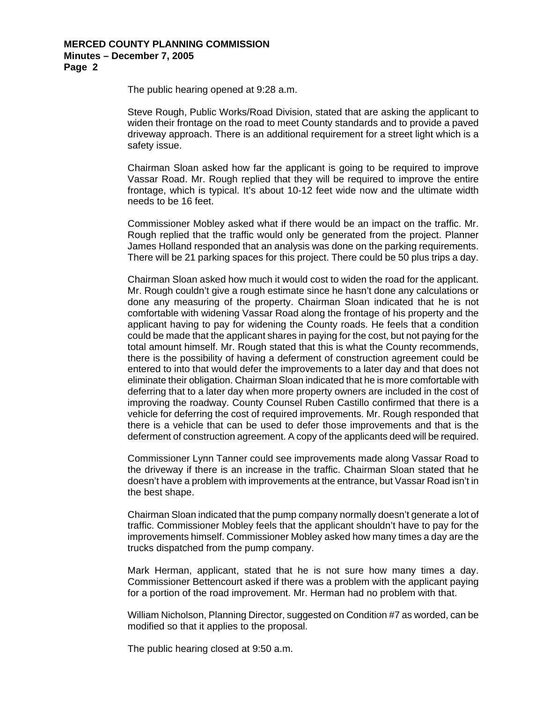### **MERCED COUNTY PLANNING COMMISSION Minutes – December 7, 2005 Page 2**

The public hearing opened at 9:28 a.m.

Steve Rough, Public Works/Road Division, stated that are asking the applicant to widen their frontage on the road to meet County standards and to provide a paved driveway approach. There is an additional requirement for a street light which is a safety issue.

Chairman Sloan asked how far the applicant is going to be required to improve Vassar Road. Mr. Rough replied that they will be required to improve the entire frontage, which is typical. It's about 10-12 feet wide now and the ultimate width needs to be 16 feet.

Commissioner Mobley asked what if there would be an impact on the traffic. Mr. Rough replied that the traffic would only be generated from the project. Planner James Holland responded that an analysis was done on the parking requirements. There will be 21 parking spaces for this project. There could be 50 plus trips a day.

Chairman Sloan asked how much it would cost to widen the road for the applicant. Mr. Rough couldn't give a rough estimate since he hasn't done any calculations or done any measuring of the property. Chairman Sloan indicated that he is not comfortable with widening Vassar Road along the frontage of his property and the applicant having to pay for widening the County roads. He feels that a condition could be made that the applicant shares in paying for the cost, but not paying for the total amount himself. Mr. Rough stated that this is what the County recommends, there is the possibility of having a deferment of construction agreement could be entered to into that would defer the improvements to a later day and that does not eliminate their obligation. Chairman Sloan indicated that he is more comfortable with deferring that to a later day when more property owners are included in the cost of improving the roadway. County Counsel Ruben Castillo confirmed that there is a vehicle for deferring the cost of required improvements. Mr. Rough responded that there is a vehicle that can be used to defer those improvements and that is the deferment of construction agreement. A copy of the applicants deed will be required.

Commissioner Lynn Tanner could see improvements made along Vassar Road to the driveway if there is an increase in the traffic. Chairman Sloan stated that he doesn't have a problem with improvements at the entrance, but Vassar Road isn't in the best shape.

Chairman Sloan indicated that the pump company normally doesn't generate a lot of traffic. Commissioner Mobley feels that the applicant shouldn't have to pay for the improvements himself. Commissioner Mobley asked how many times a day are the trucks dispatched from the pump company.

Mark Herman, applicant, stated that he is not sure how many times a day. Commissioner Bettencourt asked if there was a problem with the applicant paying for a portion of the road improvement. Mr. Herman had no problem with that.

William Nicholson, Planning Director, suggested on Condition #7 as worded, can be modified so that it applies to the proposal.

The public hearing closed at 9:50 a.m.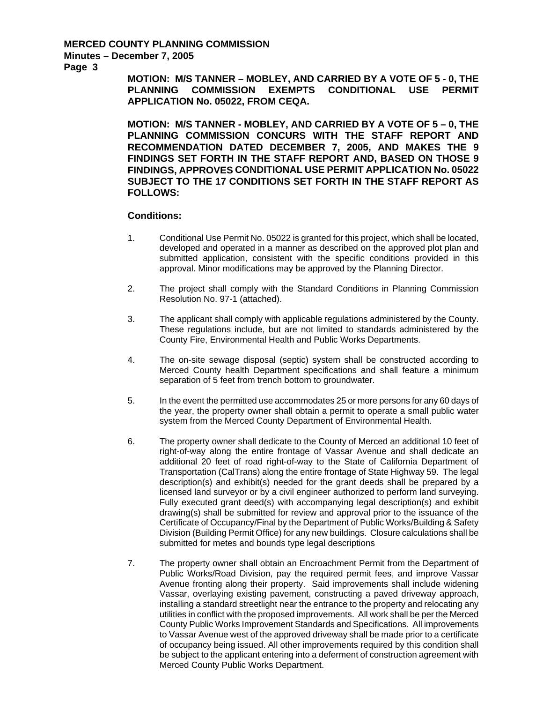### **MERCED COUNTY PLANNING COMMISSION Minutes – December 7, 2005**

**Page 3** 

**MOTION: M/S TANNER – MOBLEY, AND CARRIED BY A VOTE OF 5 - 0, THE PLANNING COMMISSION EXEMPTS CONDITIONAL USE PERMIT APPLICATION No. 05022, FROM CEQA.** 

**MOTION: M/S TANNER - MOBLEY, AND CARRIED BY A VOTE OF 5 – 0, THE PLANNING COMMISSION CONCURS WITH THE STAFF REPORT AND RECOMMENDATION DATED DECEMBER 7, 2005, AND MAKES THE 9 FINDINGS SET FORTH IN THE STAFF REPORT AND, BASED ON THOSE 9 FINDINGS, APPROVES CONDITIONAL USE PERMIT APPLICATION No. 05022 SUBJECT TO THE 17 CONDITIONS SET FORTH IN THE STAFF REPORT AS FOLLOWS:** 

- 1. Conditional Use Permit No. 05022 is granted for this project, which shall be located, developed and operated in a manner as described on the approved plot plan and submitted application, consistent with the specific conditions provided in this approval. Minor modifications may be approved by the Planning Director.
- 2. The project shall comply with the Standard Conditions in Planning Commission Resolution No. 97-1 (attached).
- 3. The applicant shall comply with applicable regulations administered by the County. These regulations include, but are not limited to standards administered by the County Fire, Environmental Health and Public Works Departments.
- 4. The on-site sewage disposal (septic) system shall be constructed according to Merced County health Department specifications and shall feature a minimum separation of 5 feet from trench bottom to groundwater.
- 5. In the event the permitted use accommodates 25 or more persons for any 60 days of the year, the property owner shall obtain a permit to operate a small public water system from the Merced County Department of Environmental Health.
- 6. The property owner shall dedicate to the County of Merced an additional 10 feet of right-of-way along the entire frontage of Vassar Avenue and shall dedicate an additional 20 feet of road right-of-way to the State of California Department of Transportation (CalTrans) along the entire frontage of State Highway 59. The legal description(s) and exhibit(s) needed for the grant deeds shall be prepared by a licensed land surveyor or by a civil engineer authorized to perform land surveying. Fully executed grant deed(s) with accompanying legal description(s) and exhibit drawing(s) shall be submitted for review and approval prior to the issuance of the Certificate of Occupancy/Final by the Department of Public Works/Building & Safety Division (Building Permit Office) for any new buildings. Closure calculations shall be submitted for metes and bounds type legal descriptions
- 7. The property owner shall obtain an Encroachment Permit from the Department of Public Works/Road Division, pay the required permit fees, and improve Vassar Avenue fronting along their property. Said improvements shall include widening Vassar, overlaying existing pavement, constructing a paved driveway approach, installing a standard streetlight near the entrance to the property and relocating any utilities in conflict with the proposed improvements. All work shall be per the Merced County Public Works Improvement Standards and Specifications. All improvements to Vassar Avenue west of the approved driveway shall be made prior to a certificate of occupancy being issued. All other improvements required by this condition shall be subject to the applicant entering into a deferment of construction agreement with Merced County Public Works Department.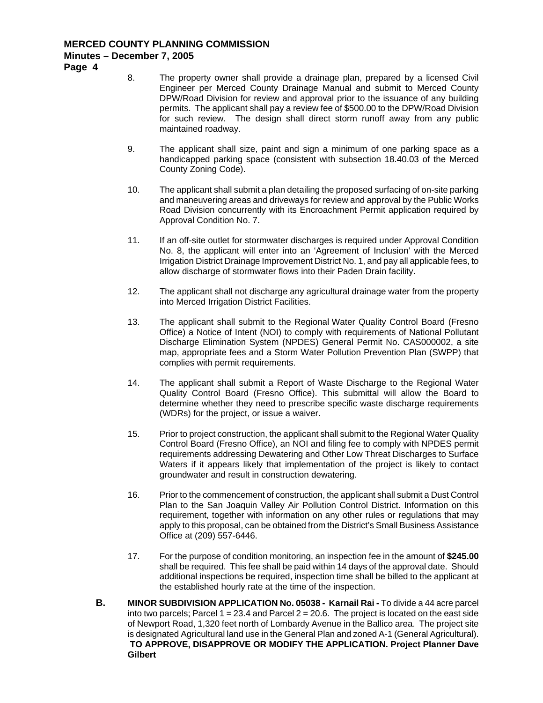# **MERCED COUNTY PLANNING COMMISSION Minutes – December 7, 2005**

**Page 4** 

- 8. The property owner shall provide a drainage plan, prepared by a licensed Civil Engineer per Merced County Drainage Manual and submit to Merced County DPW/Road Division for review and approval prior to the issuance of any building permits. The applicant shall pay a review fee of \$500.00 to the DPW/Road Division for such review. The design shall direct storm runoff away from any public maintained roadway.
- 9. The applicant shall size, paint and sign a minimum of one parking space as a handicapped parking space (consistent with subsection 18.40.03 of the Merced County Zoning Code).
- 10. The applicant shall submit a plan detailing the proposed surfacing of on-site parking and maneuvering areas and driveways for review and approval by the Public Works Road Division concurrently with its Encroachment Permit application required by Approval Condition No. 7.
- 11. If an off-site outlet for stormwater discharges is required under Approval Condition No. 8, the applicant will enter into an 'Agreement of Inclusion' with the Merced Irrigation District Drainage Improvement District No. 1, and pay all applicable fees, to allow discharge of stormwater flows into their Paden Drain facility.
- 12. The applicant shall not discharge any agricultural drainage water from the property into Merced Irrigation District Facilities.
- 13. The applicant shall submit to the Regional Water Quality Control Board (Fresno Office) a Notice of Intent (NOI) to comply with requirements of National Pollutant Discharge Elimination System (NPDES) General Permit No. CAS000002, a site map, appropriate fees and a Storm Water Pollution Prevention Plan (SWPP) that complies with permit requirements.
- 14. The applicant shall submit a Report of Waste Discharge to the Regional Water Quality Control Board (Fresno Office). This submittal will allow the Board to determine whether they need to prescribe specific waste discharge requirements (WDRs) for the project, or issue a waiver.
- 15. Prior to project construction, the applicant shall submit to the Regional Water Quality Control Board (Fresno Office), an NOI and filing fee to comply with NPDES permit requirements addressing Dewatering and Other Low Threat Discharges to Surface Waters if it appears likely that implementation of the project is likely to contact groundwater and result in construction dewatering.
- 16. Prior to the commencement of construction, the applicant shall submit a Dust Control Plan to the San Joaquin Valley Air Pollution Control District. Information on this requirement, together with information on any other rules or regulations that may apply to this proposal, can be obtained from the District's Small Business Assistance Office at (209) 557-6446.
- 17. For the purpose of condition monitoring, an inspection fee in the amount of **\$245.00**  shall be required. This fee shall be paid within 14 days of the approval date. Should additional inspections be required, inspection time shall be billed to the applicant at the established hourly rate at the time of the inspection.
- **B. MINOR SUBDIVISION APPLICATION No. 05038 Karnail Rai To divide a 44 acre parcel** into two parcels; Parcel  $1 = 23.4$  and Parcel  $2 = 20.6$ . The project is located on the east side of Newport Road, 1,320 feet north of Lombardy Avenue in the Ballico area. The project site is designated Agricultural land use in the General Plan and zoned A-1 (General Agricultural).  **TO APPROVE, DISAPPROVE OR MODIFY THE APPLICATION. Project Planner Dave Gilbert**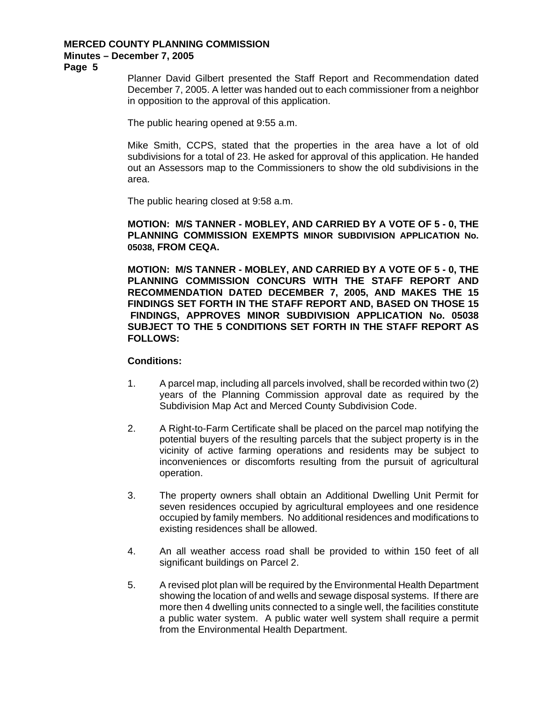# **MERCED COUNTY PLANNING COMMISSION**

# **Minutes – December 7, 2005**

**Page 5** 

Planner David Gilbert presented the Staff Report and Recommendation dated December 7, 2005. A letter was handed out to each commissioner from a neighbor in opposition to the approval of this application.

The public hearing opened at 9:55 a.m.

Mike Smith, CCPS, stated that the properties in the area have a lot of old subdivisions for a total of 23. He asked for approval of this application. He handed out an Assessors map to the Commissioners to show the old subdivisions in the area.

The public hearing closed at 9:58 a.m.

**MOTION: M/S TANNER - MOBLEY, AND CARRIED BY A VOTE OF 5 - 0, THE PLANNING COMMISSION EXEMPTS MINOR SUBDIVISION APPLICATION No. 05038, FROM CEQA.** 

**MOTION: M/S TANNER - MOBLEY, AND CARRIED BY A VOTE OF 5 - 0, THE PLANNING COMMISSION CONCURS WITH THE STAFF REPORT AND RECOMMENDATION DATED DECEMBER 7, 2005, AND MAKES THE 15 FINDINGS SET FORTH IN THE STAFF REPORT AND, BASED ON THOSE 15 FINDINGS, APPROVES MINOR SUBDIVISION APPLICATION No. 05038 SUBJECT TO THE 5 CONDITIONS SET FORTH IN THE STAFF REPORT AS FOLLOWS:** 

- 1. A parcel map, including all parcels involved, shall be recorded within two (2) years of the Planning Commission approval date as required by the Subdivision Map Act and Merced County Subdivision Code.
- 2. A Right-to-Farm Certificate shall be placed on the parcel map notifying the potential buyers of the resulting parcels that the subject property is in the vicinity of active farming operations and residents may be subject to inconveniences or discomforts resulting from the pursuit of agricultural operation.
- 3. The property owners shall obtain an Additional Dwelling Unit Permit for seven residences occupied by agricultural employees and one residence occupied by family members. No additional residences and modifications to existing residences shall be allowed.
- 4. An all weather access road shall be provided to within 150 feet of all significant buildings on Parcel 2.
- 5. A revised plot plan will be required by the Environmental Health Department showing the location of and wells and sewage disposal systems. If there are more then 4 dwelling units connected to a single well, the facilities constitute a public water system. A public water well system shall require a permit from the Environmental Health Department.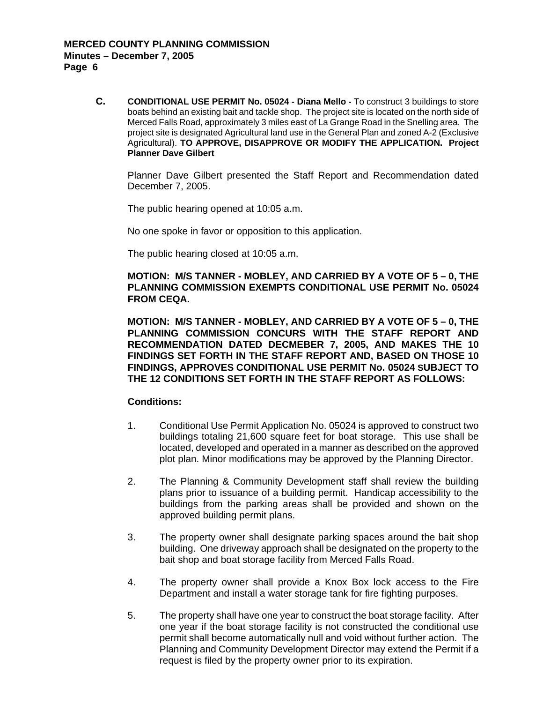**C. CONDITIONAL USE PERMIT No. 05024 - Diana Mello -** To construct 3 buildings to store boats behind an existing bait and tackle shop. The project site is located on the north side of Merced Falls Road, approximately 3 miles east of La Grange Road in the Snelling area. The project site is designated Agricultural land use in the General Plan and zoned A-2 (Exclusive Agricultural). **TO APPROVE, DISAPPROVE OR MODIFY THE APPLICATION. Project Planner Dave Gilbert**

Planner Dave Gilbert presented the Staff Report and Recommendation dated December 7, 2005.

The public hearing opened at 10:05 a.m.

No one spoke in favor or opposition to this application.

The public hearing closed at 10:05 a.m.

**MOTION: M/S TANNER - MOBLEY, AND CARRIED BY A VOTE OF 5 – 0, THE PLANNING COMMISSION EXEMPTS CONDITIONAL USE PERMIT No. 05024 FROM CEQA.** 

**MOTION: M/S TANNER - MOBLEY, AND CARRIED BY A VOTE OF 5 – 0, THE PLANNING COMMISSION CONCURS WITH THE STAFF REPORT AND RECOMMENDATION DATED DECMEBER 7, 2005, AND MAKES THE 10 FINDINGS SET FORTH IN THE STAFF REPORT AND, BASED ON THOSE 10 FINDINGS, APPROVES CONDITIONAL USE PERMIT No. 05024 SUBJECT TO THE 12 CONDITIONS SET FORTH IN THE STAFF REPORT AS FOLLOWS:** 

- 1. Conditional Use Permit Application No. 05024 is approved to construct two buildings totaling 21,600 square feet for boat storage. This use shall be located, developed and operated in a manner as described on the approved plot plan. Minor modifications may be approved by the Planning Director.
- 2. The Planning & Community Development staff shall review the building plans prior to issuance of a building permit. Handicap accessibility to the buildings from the parking areas shall be provided and shown on the approved building permit plans.
- 3. The property owner shall designate parking spaces around the bait shop building. One driveway approach shall be designated on the property to the bait shop and boat storage facility from Merced Falls Road.
- 4. The property owner shall provide a Knox Box lock access to the Fire Department and install a water storage tank for fire fighting purposes.
- 5. The property shall have one year to construct the boat storage facility. After one year if the boat storage facility is not constructed the conditional use permit shall become automatically null and void without further action. The Planning and Community Development Director may extend the Permit if a request is filed by the property owner prior to its expiration.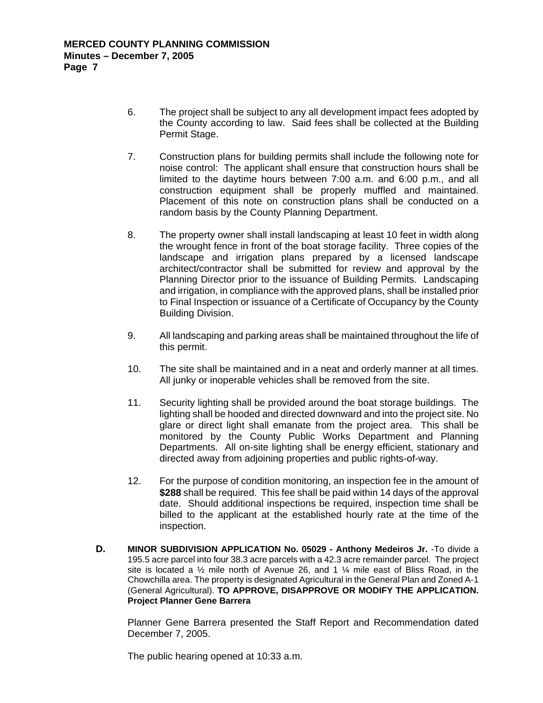- 6. The project shall be subject to any all development impact fees adopted by the County according to law. Said fees shall be collected at the Building Permit Stage.
- 7. Construction plans for building permits shall include the following note for noise control: The applicant shall ensure that construction hours shall be limited to the daytime hours between 7:00 a.m. and 6:00 p.m., and all construction equipment shall be properly muffled and maintained. Placement of this note on construction plans shall be conducted on a random basis by the County Planning Department.
- 8. The property owner shall install landscaping at least 10 feet in width along the wrought fence in front of the boat storage facility. Three copies of the landscape and irrigation plans prepared by a licensed landscape architect/contractor shall be submitted for review and approval by the Planning Director prior to the issuance of Building Permits. Landscaping and irrigation, in compliance with the approved plans, shall be installed prior to Final Inspection or issuance of a Certificate of Occupancy by the County Building Division.
- 9. All landscaping and parking areas shall be maintained throughout the life of this permit.
- 10. The site shall be maintained and in a neat and orderly manner at all times. All junky or inoperable vehicles shall be removed from the site.
- 11. Security lighting shall be provided around the boat storage buildings. The lighting shall be hooded and directed downward and into the project site. No glare or direct light shall emanate from the project area. This shall be monitored by the County Public Works Department and Planning Departments. All on-site lighting shall be energy efficient, stationary and directed away from adjoining properties and public rights-of-way.
- 12. For the purpose of condition monitoring, an inspection fee in the amount of **\$288** shall be required. This fee shall be paid within 14 days of the approval date. Should additional inspections be required, inspection time shall be billed to the applicant at the established hourly rate at the time of the inspection.
- **D. MINOR SUBDIVISION APPLICATION No. 05029 Anthony Medeiros Jr.** -To divide a 195.5 acre parcel into four 38.3 acre parcels with a 42.3 acre remainder parcel. The project site is located a  $\frac{1}{2}$  mile north of Avenue 26, and 1  $\frac{1}{4}$  mile east of Bliss Road, in the Chowchilla area. The property is designated Agricultural in the General Plan and Zoned A-1 (General Agricultural). **TO APPROVE, DISAPPROVE OR MODIFY THE APPLICATION. Project Planner Gene Barrera**

Planner Gene Barrera presented the Staff Report and Recommendation dated December 7, 2005.

The public hearing opened at 10:33 a.m.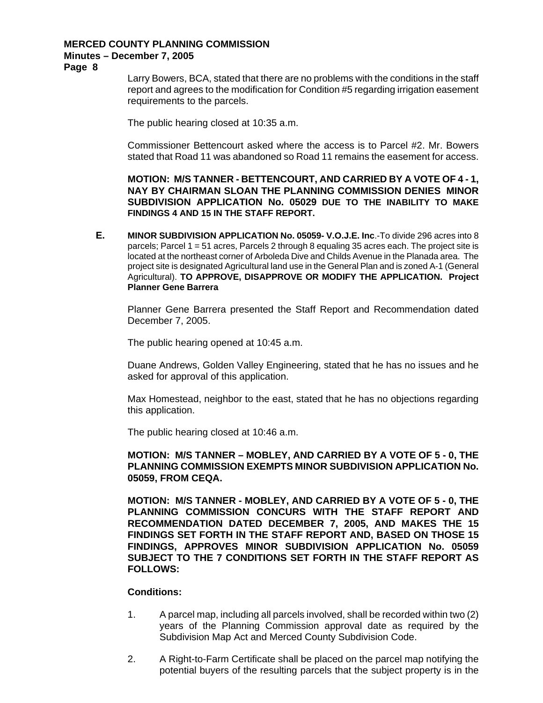# **MERCED COUNTY PLANNING COMMISSION**

# **Minutes – December 7, 2005**

**Page 8** 

Larry Bowers, BCA, stated that there are no problems with the conditions in the staff report and agrees to the modification for Condition #5 regarding irrigation easement requirements to the parcels.

The public hearing closed at 10:35 a.m.

Commissioner Bettencourt asked where the access is to Parcel #2. Mr. Bowers stated that Road 11 was abandoned so Road 11 remains the easement for access.

**MOTION: M/S TANNER - BETTENCOURT, AND CARRIED BY A VOTE OF 4 - 1, NAY BY CHAIRMAN SLOAN THE PLANNING COMMISSION DENIES MINOR SUBDIVISION APPLICATION No. 05029 DUE TO THE INABILITY TO MAKE FINDINGS 4 AND 15 IN THE STAFF REPORT.** 

**E. MINOR SUBDIVISION APPLICATION No. 05059- V.O.J.E. Inc**.-To divide 296 acres into 8 parcels; Parcel 1 = 51 acres, Parcels 2 through 8 equaling 35 acres each. The project site is located at the northeast corner of Arboleda Dive and Childs Avenue in the Planada area. The project site is designated Agricultural land use in the General Plan and is zoned A-1 (General Agricultural). **TO APPROVE, DISAPPROVE OR MODIFY THE APPLICATION. Project Planner Gene Barrera** 

Planner Gene Barrera presented the Staff Report and Recommendation dated December 7, 2005.

The public hearing opened at 10:45 a.m.

Duane Andrews, Golden Valley Engineering, stated that he has no issues and he asked for approval of this application.

Max Homestead, neighbor to the east, stated that he has no objections regarding this application.

The public hearing closed at 10:46 a.m.

**MOTION: M/S TANNER – MOBLEY, AND CARRIED BY A VOTE OF 5 - 0, THE PLANNING COMMISSION EXEMPTS MINOR SUBDIVISION APPLICATION No. 05059, FROM CEQA.** 

**MOTION: M/S TANNER - MOBLEY, AND CARRIED BY A VOTE OF 5 - 0, THE PLANNING COMMISSION CONCURS WITH THE STAFF REPORT AND RECOMMENDATION DATED DECEMBER 7, 2005, AND MAKES THE 15 FINDINGS SET FORTH IN THE STAFF REPORT AND, BASED ON THOSE 15 FINDINGS, APPROVES MINOR SUBDIVISION APPLICATION No. 05059 SUBJECT TO THE 7 CONDITIONS SET FORTH IN THE STAFF REPORT AS FOLLOWS:** 

- 1. A parcel map, including all parcels involved, shall be recorded within two (2) years of the Planning Commission approval date as required by the Subdivision Map Act and Merced County Subdivision Code.
- 2. A Right-to-Farm Certificate shall be placed on the parcel map notifying the potential buyers of the resulting parcels that the subject property is in the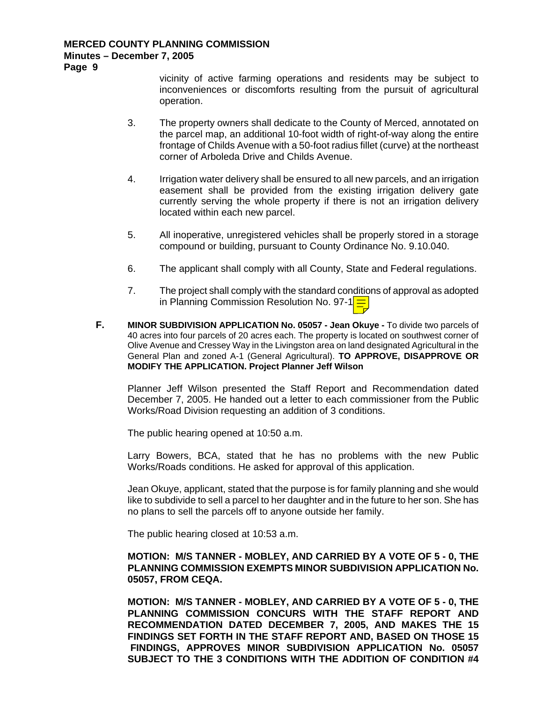## **MERCED COUNTY PLANNING COMMISSION Minutes – December 7, 2005**

**Page 9** 

vicinity of active farming operations and residents may be subject to inconveniences or discomforts resulting from the pursuit of agricultural operation.

- 3. The property owners shall dedicate to the County of Merced, annotated on the parcel map, an additional 10-foot width of right-of-way along the entire frontage of Childs Avenue with a 50-foot radius fillet (curve) at the northeast corner of Arboleda Drive and Childs Avenue.
- 4. Irrigation water delivery shall be ensured to all new parcels, and an irrigation easement shall be provided from the existing irrigation delivery gate currently serving the whole property if there is not an irrigation delivery located within each new parcel.
- 5. All inoperative, unregistered vehicles shall be properly stored in a storage compound or building, pursuant to County Ordinance No. 9.10.040.
- 6. The applicant shall comply with all County, State and Federal regulations.
- 7. The project shall comply with the standard conditions of approval as adopted in Planning Commission Resolution No. 97-1
- **F. MINOR SUBDIVISION APPLICATION No. 05057 Jean Okuye** To divide two parcels of 40 acres into four parcels of 20 acres each. The property is located on southwest corner of Olive Avenue and Cressey Way in the Livingston area on land designated Agricultural in the General Plan and zoned A-1 (General Agricultural). **TO APPROVE, DISAPPROVE OR MODIFY THE APPLICATION. Project Planner Jeff Wilson**

Planner Jeff Wilson presented the Staff Report and Recommendation dated December 7, 2005. He handed out a letter to each commissioner from the Public Works/Road Division requesting an addition of 3 conditions.

The public hearing opened at 10:50 a.m.

Larry Bowers, BCA, stated that he has no problems with the new Public Works/Roads conditions. He asked for approval of this application.

Jean Okuye, applicant, stated that the purpose is for family planning and she would like to subdivide to sell a parcel to her daughter and in the future to her son. She has no plans to sell the parcels off to anyone outside her family.

The public hearing closed at 10:53 a.m.

# **MOTION: M/S TANNER - MOBLEY, AND CARRIED BY A VOTE OF 5 - 0, THE PLANNING COMMISSION EXEMPTS MINOR SUBDIVISION APPLICATION No. 05057, FROM CEQA.**

**MOTION: M/S TANNER - MOBLEY, AND CARRIED BY A VOTE OF 5 - 0, THE PLANNING COMMISSION CONCURS WITH THE STAFF REPORT AND RECOMMENDATION DATED DECEMBER 7, 2005, AND MAKES THE 15 FINDINGS SET FORTH IN THE STAFF REPORT AND, BASED ON THOSE 15 FINDINGS, APPROVES MINOR SUBDIVISION APPLICATION No. 05057 SUBJECT TO THE 3 CONDITIONS WITH THE ADDITION OF CONDITION #4**